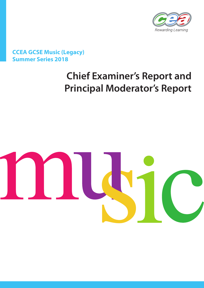

# **CCEA GCSE Music (Legacy) Summer Series 2018**

# **Chief Examiner's Report and Principal Moderator's Report**

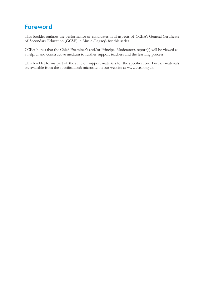# **Foreword**

This booklet outlines the performance of candidates in all aspects of CCEA's General Certificate of Secondary Education (GCSE) in Music (Legacy) for this series.

CCEA hopes that the Chief Examiner's and/or Principal Moderator's report(s) will be viewed as a helpful and constructive medium to further support teachers and the learning process.

This booklet forms part of the suite of support materials for the specification. Further materials are available from the specification's microsite on our website at www.ccea.org.uk.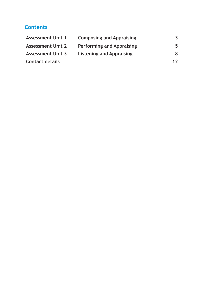## **Contents**

| <b>Assessment Unit 1</b> | <b>Composing and Appraising</b>  | 3  |
|--------------------------|----------------------------------|----|
| <b>Assessment Unit 2</b> | <b>Performing and Appraising</b> | 5  |
| <b>Assessment Unit 3</b> | <b>Listening and Appraising</b>  | 8  |
| <b>Contact details</b>   |                                  | 12 |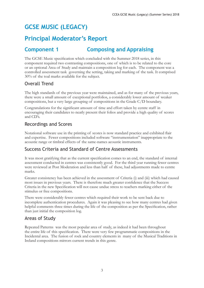# **GCSE MUSIC (LEGACY)**

# **Principal Moderator's Report**

## **Component 1 Composing and Appraising**

The GCSE Music specification which concluded with the Summer 2018 series, in this component required two contrasting compositions, one of which is to be related to the core or an optional Area of Study and maintain a composition log for each. The component was a controlled assessment task governing the setting, taking and marking of the task. It comprised 30% of the toal marks available for the subject.

### Overall Trend

The high standards of the previous year were maintained, and as for many of the previous years, there were a small amount of exceptional portfolios, a considerably lower amount of weaker compositions, but a very large grouping of compositions in the Grade C/D boundary.

Congratulations for the significant amount of time and effort taken by centre staff in encouraging their candidates to neatly present their folios and provide a high quality of scores and CD's.

### Recordings and Scores

Notational software use in the printing of scores is now standard practice and exhibited flair and expertise. Fewer compositions included software "instrumentation" inappropriate to the acoustic range or timbral effects of the same-names acoustic instruments.

### Success Criteria and Standard of Centre Assessments

It was most gratifying that as the current specification comes to an end, the standard of internal assessment conducted in centres was consistently good. For the third year running fewer centres were reviewed at Post Moderation and less than half of these, had adjustments made to centre marks.

Greater consistency has been achieved in the assessment of Criteria (i) and (iii) which had caused most issues in previous years. There is therefore much greater confidence that the Success Criteria in the new Specification will not cause undue stress to teachers marking either of the stimulus or free compositions.

There were considerably fewer centres which required their work to be sent back due to incomplete authentication procedures. Again it was pleasing to see how many centres had given helpful comments three times during the life of the composition as per the Specification, rather than just initial the composition log.

### Areas of Study

Repeated Patterns was the most popular area of study, as indeed it had been throughout the entire life of this specification. There were very few programmatic compositions in the Incidental area. The fusion of rock and country elements in many of the Musical Traditions in Ireland compositions mirrors current trends in this genre.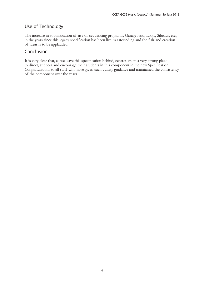### Use of Technology

The increase in sophistication of use of sequencing programs, Garageband, Logic, Sibelius, etc., in the years since this legacy specification has been live, is astounding and the flair and creation of ideas is to be applauded.

#### Conclusion

It is very clear that, as we leave this specification behind, centres are in a very strong place to direct, support and encourage their students in this component in the new Specification. Congratulations to all staff who have given such quality guidance and maintained the consistency of the component over the years.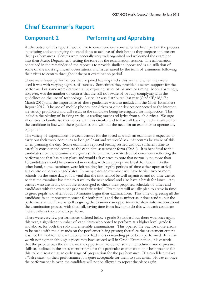# **Chief Examiner's Report**

## **Component 2 Performing and Appraising**

At the outset of this report I would like to commend everyone who has been part of the process in assisting and encouraging the candidates to achieve of their best as they prepare and present their performances. Centres were generally very well organised and welcomed the examiner into their Music Department, setting the tone for the examination session. The information contained in the remainder of the report is to provide similar support and is a distillation of some of the most significant observations and issues raised by the team of examiners following their visits to centres throughout the past examination period.

There were fewer performances that required backing tracks this year and when they were used it was with varying degrees of success. Sometimes they provided a secure support for the performer but some were detrimental by exposing issues of balance or timing. More alarmingly, however, was the number of centres that are still not aware of or fully complying with the guidelines on the use of technology. A circular was distributed last year (Cir.S/IF/18/17 : March 2017) and the importance of these guidelines was also included in the Chief Examiner's Report 2017. The use of mobile phones, pen drives or other devices connected to the internet are strictly prohibited and will result in the candidate being investigated for malpractice. This includes the playing of backing tracks or reading music and lyrics from such devices. We urge all centres to familiarise themselves with this circular and to have all backing tracks available for the candidate in line with these guidelines and without the need for an examiner to operate any equipment.

The variety of expectations between centres for the speed at which an examiner is expected to carry out their work continues to be significant and we would ask that centres be aware of this when planning the day. Some examiners reported feeling rushed without sufficient time to carefully consider and complete the candidate assessment form (ExA4). It is beneficial to the candidates that the examiners are given sufficient time to write detailed comments reflecting the performance that has taken place and would ask centres to note that normally no more than 18 candidates should be examined in one day, with an appropriate break for lunch. On the other hand, some examiners were left waiting for lengthy periods of time either upon arrival at a centre or between candidates. In many cases an examiner will have to visit two or more schools on the same day, so it is vital that the first school be well organised and no time wasted so that the examiner has time to travel to the next school and also have a break for lunch. Any centres who are in any doubt are encouraged to check their proposed schedule of times and candidates with the examiner prior to their arrival. Examiners will usually plan to arrive in time to greet pupils and after about 10 minutes begin their examinations. This time of greeting all the candidates is an important moment for both pupils and the examiner as it does tend to put the performers at their ease as well as giving the examiner an opportunity to share information about the examination process with them all, saving time from having to do this with each candidate individually as they come to perform.

There were very few performances offered below a grade 3 standard but there was, once again this year, a significant number of candidates who opted to perform at a higher level, grade 6 and above, for both the solo and ensemble examinations. This opened the way for more errors to be made with the demands on the performer being greater; therefore the assessment criteria was not fulfilled to the level it could have had a less demanding piece been performed. It is also worth noting that although a piece may have scored well in Grade Examination, it is essential that the piece allows the candidate the opportunity to demonstrate the technical and expressive skills as outlined in the assessment criteria for this particular examination: it is best practice for this to be discussed at an early stage of preparation for the performance. If a candidate makes a "false start" to their performance it is quite acceptable for them to start again. However, once the performance is over, the candidate will not be allowed to repeat the piece again.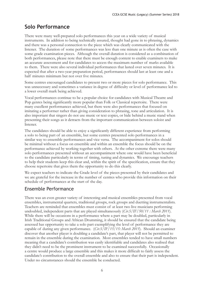### **Solo Performance**

There were many well-prepared solo performances this year on a wide variety of musical instruments. In addition to being technically assured, thought had gone in to phrasing, dynamics and there was a personal connection to the piece which was clearly communicated with the listener. The duration of some performances was less than one minute as is often the case with some grade examination pieces. Although the overall duration is considered as a combination of both performances, please note that there must be enough content to enable examiners to make an accurate assessment and for candidates to access the maximum number of marks available to them. There were also several individual performances that lasted over seven minutes. It is expected that after a two-year preparation period, performances should last at least one and a half minutes minimum but not over five minutes.

Some centres encouraged candidates to present two or more pieces for solo performance. This was unnecessary and sometimes a variance in degree of difficulty or level of performance led to a lower overall mark being achieved.

Vocal performances continue to be a popular choice for candidates with Musical Theatre and Pop genres being significantly more popular than Folk or Classical repertoire. There were many excellent performances achieved, but there were also performances that focused on imitating a performer rather than giving consideration to phrasing, tone and articulation. It is also important that singers do not use music or text copies, or hide behind a music stand when presenting their songs as it detracts from the important communication between soloist and listener.

The candidates should be able to enjoy a significantly different experience from performing a solo to being part of an ensemble, but some centres presented solo performances in a similar way to ensemble performances and vice versa. The accompaniment for solos should be minimal without a focus on ensemble and within an ensemble the focus should be on the performance achieved by working together with others. At the other extreme there were many solo performances presented without an accompaniment where one would have been beneficial to the candidate particularly in terms of timing, tuning and dynamics. We encourage teachers to help their students keep this clear and, within the spirit of the specification, ensure that they choose repertoire that gives them the opportunity to do this clearly.

We expect teachers to indicate the Grade level of the pieces presented by their candidates and we are grateful for the increase in the number of centres who provide this information on their schedule of performances at the start of the day.

### Ensemble Performance

There was an even greater variety of interesting and musical ensembles presented from vocal ensembles, instrumental quartets, traditional groups, rock groups and duetting instrumentalists. Teachers are reminded that ensembles must consist of at least two live musicians performing undoubled, independent parts that are played simultaneously (*Cir.S/IF/50/11 : March 2011*). While there will be occasions in a performance where a part may be doubled, particularly in Irish Traditional Groups and African Drumming, it should be ensured that the candidate being assessed has opportunity to take a solo part exemplifying the level of performance they are capable of during any given performance. (*Cir.S/IF/15/15: March 2015*). Should an examiner discover that another player is doubling a candidate's part, that player will not be permitted to remain in the ensemble during the examination. Most ensembles tended to have small numbers meaning that a candidate's contribution was easily identifiable and candidates also realised that they didn't need to be the prominent instrument to be examined successfully. Occasionally a centre would produce a large ensemble and this makes it more difficult to fairly assess the candidate's contribution to the overall ensemble and also to ensure that their part is independent. Under no circumstances should the ensemble be conducted.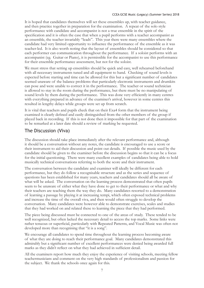It is hoped that candidates themselves will set these ensembles up, with teacher guidance, and then practice together in preparation for the examination. A repeat of the solo style performance with candidate and accompanist is not a true ensemble in the spirit of the specification and it is often the case that when a pupil performs with a teacher accompanist as an ensemble, the teacher invariably "leads". This year there were many ensembles where the candidate had very limited opportunity to influence the performance of the ensemble as it was teacher-led. It is also worth noting that the layout of ensembles should be considered so that each performer can communication throughout the performance. If a soloist performs with an accompanist (eg. Guitar or Piano), it is permissible for the accompanist to use this performance for their ensemble performance assessment, but not for the soloist.

We must stress that setting up ensembles should be quick and easy, well rehearsed beforehand with all necessary instruments tuned and all equipment to hand. Checking of sound levels is expected before starting and time can be allowed for this but a significant number of candidates seemed unaware of the balance problems that particularly electronic instruments and drumkits can pose and were unable to correct it in the performance. The teacher or sound technician is allowed to stay in the room during the performance, but there must be no manipulating of sound levels by them during the performance. This was done very efficiently in many centres with everything prepared in advance of the examiner's arrival, however in some centres this resulted in lengthy delays while groups were set up from scratch.

It is vital that teachers and pupils check that on their Exa4 form that the instrument being examined is clearly defined and easily distinguished from the other members of the group if played back in recording. If this is not done then it impossible for that part of the examination to be remarked at a later date should a review of marking be requested.

### The Discussion (Viva)

The discussion should take place immediately after the relevant performance and, although it should be a conversation without any notes, the candidate is encouraged to use a score or their instrument to aid their discussion and point out details. If possible the music used by the candidate should be given to the examiner before the discussion begins so that it can be a focus for the initial questioning. There were many excellent examples of candidates being able to hold musically technical conversations referring to both the score and their instrument.

The conversation between the candidate and examiner will ideally be different for each performance, but they do follow a recognisable structure and as the series and sequence of questions has been established for many years, teachers and candidates should all be aware of what will be asked. The conversation on the learning process demonstrated that often pupils seem to be unaware of either what they have done to get to their performance or what and why their teachers are teaching them the way they do. Many candidates resorted to a demonstration of learning a passage by playing it at increasing tempi, which often exposed technical problems and increase the time of the overall viva, and then would often struggle to develop the conversation. Many candidates were however able to demonstrate exercises, scales and studies that they had worked on and related these to learning the piece that they had performed.

The piece being discussed must be connected to one of the areas of study. These tended to be well recognized, but often lacked the necessary detail to access the top marks. Some links were rather tenuous or superficial, particularly with Repeated Patterns, and Vocal Music was often not developed more than recognising that "it is a song".

We encourage all candidates to spend time throughout the learning process becoming aware of what they are doing to reach their performance goal. Many candidates demonstrated this admirably but a significant number of excellent performances were denied being awarded full marks as they didn't reflect on what they had achieved in sufficient detail.

All the examiners report how much they enjoy the experience of visiting schools, meeting fellow teachermusicians and comment on the very high standards of professionalism and passion for the subject. We thank the schools once again for this.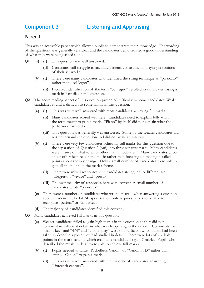### **Component 3 Listening and Appraising**

#### Paper 1

This was an accessible paper which allowed pupils to demonstrate their knowledge. The wording of the questions was generally very clear and the candidates demonstrated a good understanding of what they were being asked to do.

- **Q1 (a) (i)** This question was well answered.
	- **(ii)** Candidates still struggle to accurately identify instruments playing in sections of their set works.
	- **(b) (i)** There were many candidates who identified the string technique as "pizzicato" rather than "col legno".
		- **(ii)** Incorrect identification of the term "col legno" resulted in candidates losing a mark in Part (ii) of this question.
- **Q2** The score reading aspect of this question presented difficulty to some candidates. Weaker candidates found it difficult to score highly in this question.
	- **(a) (i)** This was very well answered with most candidates achieving full marks.
		- **(ii)** Many candidates scored well here. Candidates need to explain fully what the term meant to gain a mark. "Piano" by itself did not explain what the performer had to do.
		- **(iii)** This question was generally well answered. Some of the weaker candidates did not understand the question and did not write an interval.
	- **(b) (i)** There were very few candidates achieving full marks for this question due to the separation of Question 2 (b)(i) into three separate parts. Many candidates were unsure of what to write other than "modulates". Many candidates wrote about other features of the music rather than focusing on making detailed points about the key change. Only a small number of candidates were able to gain all the points in the mark scheme.
		- **(ii)** There were mixed responses with candidates struggling to differentiate "allegretto", "vivace" and "presto".
		- **(iii)** The vast majority of responses here were correct. A small number of candidates wrote "pizzicato".
	- **(c)** There were a number of candidates who wrote "plagal" when answering a question about a cadence. The GCSE specification only requires pupils to be able to recognise "perfect" or "imperfect".
	- **(d)** The majority of candidates identified this correctly.
- **Q3** Many candidates achieved full marks in this question.
	- **(a)** Weaker candidates failed to gain high marks in this question as they did not comment in sufficient detail on what was happening in the extract. Comments like "major key" and "4/4" and "violins play" were not sufficient when pupils had been asked to describe a piece they had studied in detail. There were lots of credible points in the mark scheme which enabled a candidate to gain 7 marks. Pupils who described the music in detail were able to achieve full marks.
	- **(b) (i)** Pupils needed to write "Pachelbel's Canon" or "Canon in D" rather than simply "Canon" to gain a mark.
		- **(ii)** This was very well answered with the majority of candidates answering "sixteenth century".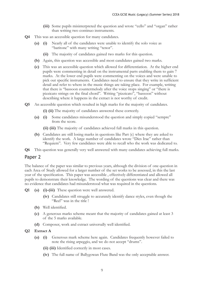- **(iii)** Some pupils misinterpreted the question and wrote "cello" and "organ" rather than writing two continuo instruments.
- **Q4** This was an accessible question for many candidates.
	- **(a) (i)** Nearly all of the candidates were unable to identify the solo voice as "baritone" with many writing "tenor".
		- **(ii)** The majority of candidates gained two marks for this question.
	- **(b)** Again, this question was accessible and most candidates gained two marks.
	- **(c)** This was an accessible question which allowed for differentiation. At the higher end pupils were commenting in detail on the instrumental parts enabling them to gain 7 marks. At the lower end pupils were commenting on the voices and were unable to pick out specific instruments. Candidates need to ensure that they write in sufficient detail and refer to where in the music things are taking place. For example, writing that there is "bassoon countermelody after the voice stops singing" or "there is pizzicato strings on the final chord". Writing "pizzicato", "bassoon" without describing where it happens in the extract is not worthy of credit.
- **Q5** An accessible question which resulted in high marks for the majority of candidates.

**(i) (ii)** The majority of candidates answered these correctly.

- **(a) (i)** Some candidates misunderstood the question and simply copied "sempre" from the score.
	- **(ii) (iii)** The majority of candidates achieved full marks in this question.
- **(b)** Candidates are still losing marks in questions like Part (c) where they are asked to identify the work. A large number of candidates wrote "Dies Irae" rather than "Requiem". Very few candidates were able to recall who the work was dedicated to.
- **Q6** This question was generally very well answered with many candidates achieving full marks.

#### Paper 2

The balance of the paper was similar to previous years, although the division of one question in each Area of Study allowed for a larger number of the set works to be assessed, in this the last year of the specification. This paper was accessible , effectively differentiated and allowed all pupils to demonstrate their knowledge. The wording of the questions was clear and there was no evidence that candidates had misunderstood what was required in the questions.

- **Q1 (a) (i)-(iii)** These question were well answered.
	- **(iv)** Candidates still struggle to accurately identify dance styles, even though the "Reel" was in the title !
	- **(b)** Well identified.
	- **(c)** A generous marks scheme meant that the majority of candidates gained at least 3 of the 5 marks available.
	- **(d)** Composer, work and extract universally well identified.
- **Q2 Extract A**
	- **(a) (i)** Generous mark scheme here again. Candidates frequently however failed to note the rising arpeggio, and we do not accept "drums".
		- **(ii) (iii)** Identified correctly in most cases.
		- **(iv)** The full name of Ballygowan Flute Band was the only acceptable answer.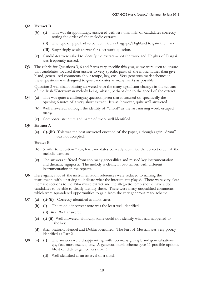#### **Q2 Extract B**

- **(b) (i)** This was disappointingly answered with less than half of candidates correctly noting the order of the melodic extracts.
	- **(ii)** The type of pipe had to be identified as Bagpipe/Highland to gain the mark.
	- **(iii)** Surprisingly weak answer for a set work question.
- **(c)** Candidates were asked to identify the extract not the work and Heights of Dargai was frequently missed.
- **Q3** The rubric for Questions 3, 6 and 9 was very specific this year, as we were keen to ensure that candidates focused their answer to very specific parts of the music, rather than give bland, generalised comments about tempo, key, etc., Very generous mark schemes in these questions was designed to give candidates as many marks as possible.

Question 3 was disappointing answered with the many significant changes in the repeats of the Irish Waterwoman melody being missed, perhaps due to the speed of the extract.

- **Q4 (a)** This was quite a challenging question given that it focused on specifically the opening 6 notes of a very short extract. It was ,however, quite well answered.
	- **(b)** Well answered, although the identity of "chord" as the last missing word, escaped many.
	- **(c)** Composer, structure and name of work well identified.

#### **Q5 Extract A**

**(a) (i)-(iii)** This was the best answered question of the paper, although again "drum" was not accepted.

#### **Extact B**

- **(b)** Similar to Question 2 (b), few candidates correctly identified the correct order of the melodic extracts.
- **(c)** The answers suffered from too many generalities and missed key instrumentation and thematic signposts. The melody is clearly in two halves, with different instrumentation in the repeats.
- **Q6** Here again, a lot of the instrumentation references were reduced to naming the instruments without trying to indicate what the instruments played. There were very clear thematic sections to the Film music extract and the allegretto temp should have aided candidates to be able to clearly identify these. There were many unqualified comments which were squandered opportunities to gain from the very generous mark scheme.
- **Q7 (a) (i)-(ii)** Correctly identified in most cases.
	- **(b) (i)** The middle incorrect note was the least well identified.
		- **(ii) (iii)** Well answered
	- **(c) (i) (ii)** Well answered, although some could not identify what had happened to the key.
	- **(d)** Aria, oratorio, Handel and Dublin identified. The Part of Messiah was very poorly identified as Part 2.
- **Q8 (a) (i)** The answers were disappointing, with too many giving bland generalisations eg., fast, more excited, etc., A generous mark scheme gave 11 possible options. Most candidates gained less than 3.
	- **(ii)** Well identified as an interval of a third.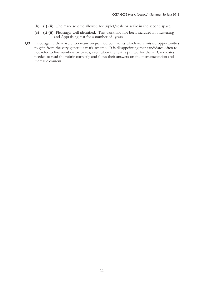- **(b) (i) (ii)** The mark scheme allowed for triplet/scale or scalic in the second space.
- **(c) (i) (ii)** Pleasingly well identified. This work had not been included in a Listening and Appraising test for a number of years.
- **Q9** Once again, there were too many unqualified comments which were missed opportunities to gain from the very generous mark scheme. It is disappointing that candidates often to not refer to line numbers or words, even when the text is printed for them. Candidates needed to read the rubric correctly and focus their answers on the instrumentation and thematic content .